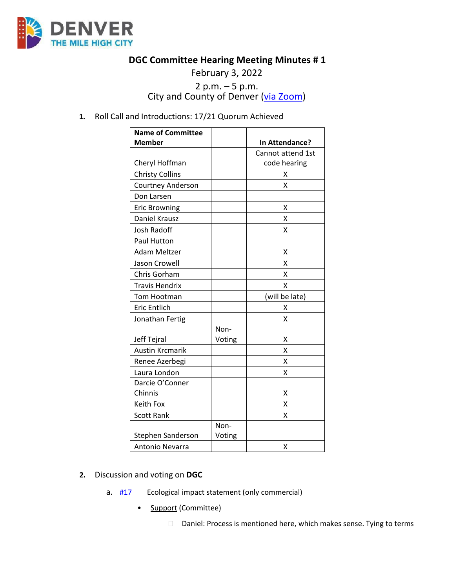

## **DGC Committee Hearing Meeting Minutes # 1**

February 3, 2022

# 2 p.m.  $-5$  p.m.<br>City and County of Denver ( $via Zoom$ )</u>

### **1.** Roll Call and Introductions: 17/21 Quorum Achieved

| <b>Name of Committee</b> |        |                   |
|--------------------------|--------|-------------------|
| <b>Member</b>            |        | In Attendance?    |
|                          |        | Cannot attend 1st |
| Cheryl Hoffman           |        | code hearing      |
| <b>Christy Collins</b>   |        | x                 |
| <b>Courtney Anderson</b> |        | x                 |
| Don Larsen               |        |                   |
| <b>Eric Browning</b>     |        | x                 |
| Daniel Krausz            |        | x                 |
| <b>Josh Radoff</b>       |        | x                 |
| Paul Hutton              |        |                   |
| <b>Adam Meltzer</b>      |        | X                 |
| Jason Crowell            |        | Χ                 |
| Chris Gorham             |        | X                 |
| <b>Travis Hendrix</b>    |        | X                 |
| Tom Hootman              |        | (will be late)    |
| <b>Eric Entlich</b>      |        | X                 |
| Jonathan Fertig          |        | X                 |
|                          | Non-   |                   |
| Jeff Tejral              | Voting | Χ                 |
| <b>Austin Krcmarik</b>   |        | Χ                 |
| Renee Azerbegi           |        | χ                 |
| Laura London             |        | Χ                 |
| Darcie O'Conner          |        |                   |
| Chinnis                  |        | х                 |
| Keith Fox                |        | Χ                 |
| <b>Scott Rank</b>        |        | Χ                 |
|                          | Non-   |                   |
| Stephen Sanderson        | Voting |                   |
| Antonio Nevarra          |        | Χ                 |

#### **2.** Discussion and voting on **DGC**

- a.  $\frac{\#17}{\#12}$  $\frac{\#17}{\#12}$  $\frac{\#17}{\#12}$  Ecological impact statement (only commercial)
	- **Support (Committee)** 
		- □ Daniel: Process is mentioned here, which makes sense. Tying to terms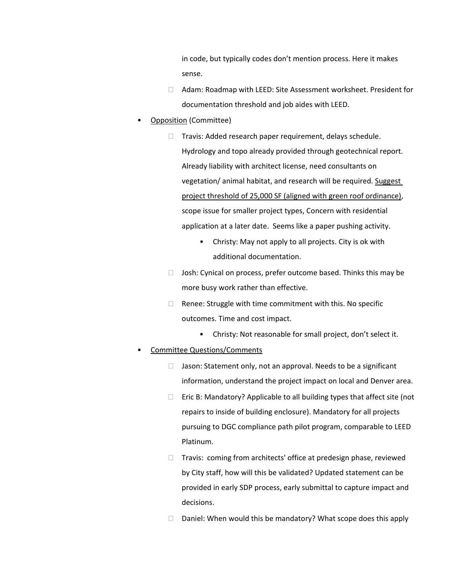in code, but typically codes don't mention process. Here it makes sense.

- Adam: Roadmap with LEED: Site Assessment worksheet. President for documentation threshold and job aides with LEED.
- Opposition (Committee)
	- $\Box$  Travis: Added research paper requirement, delays schedule. Hydrology and topo already provided through geotechnical report. Already liability with architect license, need consultants on vegetation/ animal habitat, and research will be required. Suggest project threshold of 25,000 SF (aligned with green roof ordinance), scope issue for smaller project types, Concern with residential application at a later date. Seems like a paper pushing activity.
		- Christy: May not apply to all projects. City is ok with additional documentation.
	- $\Box$  Josh: Cynical on process, prefer outcome based. Thinks this may be more busy work rather than effective.
	- $\Box$  Renee: Struggle with time commitment with this. No specific outcomes. Time and cost impact.
		- Christy: Not reasonable for small project, don't select it.

#### • Committee Questions/Comments

- $\Box$  Jason: Statement only, not an approval. Needs to be a significant information, understand the project impact on local and Denver area.
- $\Box$  Eric B: Mandatory? Applicable to all building types that affect site (not repairs to inside of building enclosure). Mandatory for all projects pursuing to DGC compliance path pilot program, comparable to LEED Platinum.
- $\Box$  Travis: coming from architects' office at predesign phase, reviewed by City staff, how will this be validated? Updated statement can be provided in early SDP process, early submittal to capture impact and decisions.
- $\Box$  Daniel: When would this be mandatory? What scope does this apply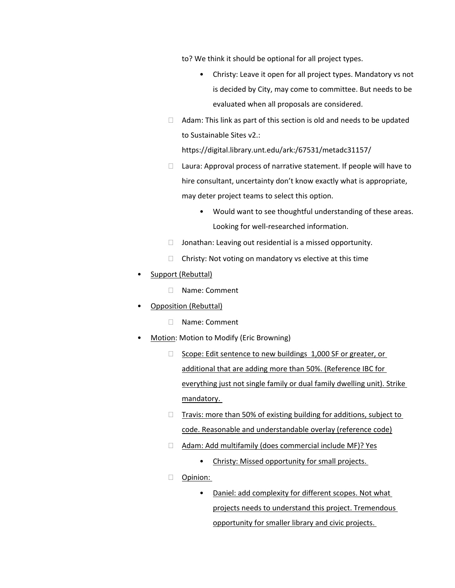to? We think it should be optional for all project types.

- Christy: Leave it open for all project types. Mandatory vs not is decided by City, may come to committee. But needs to be evaluated when all proposals are considered.
- $\Box$  Adam: This link as part of this section is old and needs to be updated to Sustainable Sites v2.:

https://digital.library.unt.edu/ark:/67531/metadc31157/

- $\Box$  Laura: Approval process of narrative statement. If people will have to hire consultant, uncertainty don't know exactly what is appropriate, may deter project teams to select this option.
	- Would want to see thoughtful understanding of these areas. Looking for well-researched information.
- $\Box$  Jonathan: Leaving out residential is a missed opportunity.
- $\Box$  Christy: Not voting on mandatory vs elective at this time
- Support (Rebuttal)
	- □ Name: Comment
- Opposition (Rebuttal)
	- Name: Comment
- Motion: Motion to Modify (Eric Browning)
	- □ Scope: Edit sentence to new buildings 1,000 SF or greater, or additional that are adding more than 50%. (Reference IBC for everything just not single family or dual family dwelling unit). Strike mandatory.
	- $\Box$  Travis: more than 50% of existing building for additions, subject to code. Reasonable and understandable overlay (reference code)
	- □ Adam: Add multifamily (does commercial include MF)? Yes
		- Christy: Missed opportunity for small projects.
	- **D** Opinion:
		- Daniel: add complexity for different scopes. Not what projects needs to understand this project. Tremendous opportunity for smaller library and civic projects.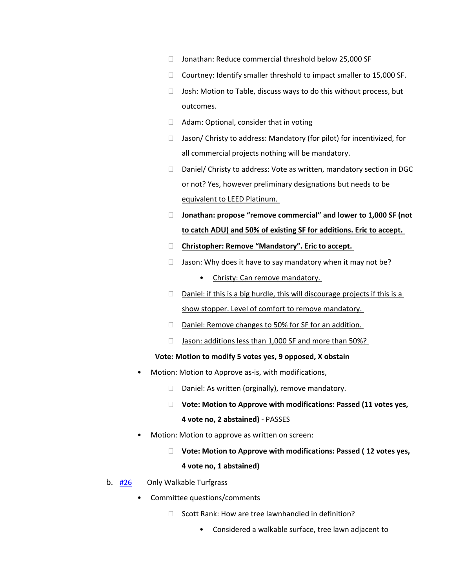- □ Jonathan: Reduce commercial threshold below 25,000 SF
- $\Box$  Courtney: Identify smaller threshold to impact smaller to 15,000 SF.
- $\Box$  Josh: Motion to Table, discuss ways to do this without process, but outcomes.
- □ Adam: Optional, consider that in voting
- □ Jason/ Christy to address: Mandatory (for pilot) for incentivized, for all commercial projects nothing will be mandatory.
- □ Daniel/ Christy to address: Vote as written, mandatory section in DGC or not? Yes, however preliminary designations but needs to be equivalent to LEED Platinum.
- **Jonathan: propose "remove commercial" and lower to 1,000 SF (not to catch ADU) and 50% of existing SF for additions. Eric to accept.**
- **Christopher: Remove "Mandatory". Eric to accept.**
- $\Box$  Jason: Why does it have to say mandatory when it may not be?
	- Christy: Can remove mandatory.
- $\Box$  Daniel: if this is a big hurdle, this will discourage projects if this is a show stopper. Level of comfort to remove mandatory.
- $\Box$  Daniel: Remove changes to 50% for SF for an addition.
- $\Box$  Jason: additions less than 1,000 SF and more than 50%?

#### **Vote: Motion to modify 5 votes yes, 9 opposed, X obstain**

- Motion: Motion to Approve as-is, with modifications,
	- $\Box$  Daniel: As written (orginally), remove mandatory.
	- **Vote: Motion to Approve with modifications: Passed (11 votes yes, 4 vote no, 2 abstained)** - PASSES
- Motion: Motion to approve as written on screen:
	- **Vote: Motion to Approve with modifications: Passed ( 12 votes yes,**

#### **4 vote no, 1 abstained)**

- b. [#26](https://www.denvergov.org/files/assets/public/community-planning-and-development/documents/ds/building-codes/code-adoption/amendment-proposals/dgc/dgc_501.3.3.5.pdf) Only Walkable Turfgrass
	- Committee questions/comments
		- $\Box$  Scott Rank: How are tree lawnhandled in definition?
			- Considered a walkable surface, tree lawn adjacent to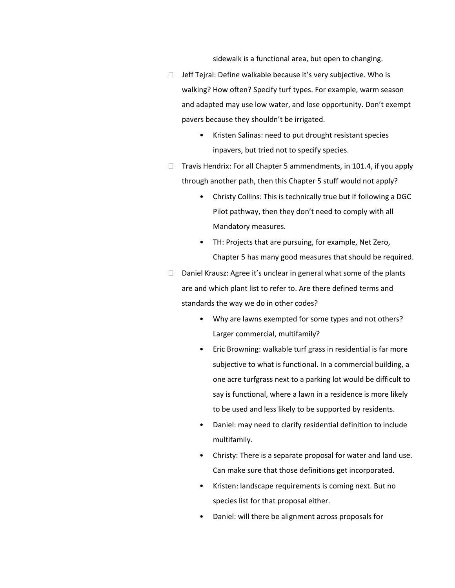sidewalk is a functional area, but open to changing.

- $\Box$  Jeff Tejral: Define walkable because it's very subjective. Who is walking? How often? Specify turf types. For example, warm season and adapted may use low water, and lose opportunity. Don't exempt pavers because they shouldn't be irrigated.
	- Kristen Salinas: need to put drought resistant species inpavers, but tried not to specify species.
- $\Box$  Travis Hendrix: For all Chapter 5 ammendments, in 101.4, if you apply through another path, then this Chapter 5 stuff would not apply?
	- Christy Collins: This is technically true but if following a DGC Pilot pathway, then they don't need to comply with all Mandatory measures.
	- TH: Projects that are pursuing, for example, Net Zero, Chapter 5 has many good measures that should be required.
- $\Box$  Daniel Krausz: Agree it's unclear in general what some of the plants are and which plant list to refer to. Are there defined terms and standards the way we do in other codes?
	- Why are lawns exempted for some types and not others? Larger commercial, multifamily?
	- Eric Browning: walkable turf grass in residential is far more subjective to what is functional. In a commercial building, a one acre turfgrass next to a parking lot would be difficult to say is functional, where a lawn in a residence is more likely to be used and less likely to be supported by residents.
	- Daniel: may need to clarify residential definition to include multifamily.
	- Christy: There is a separate proposal for water and land use. Can make sure that those definitions get incorporated.
	- Kristen: landscape requirements is coming next. But no species list for that proposal either.
	- Daniel: will there be alignment across proposals for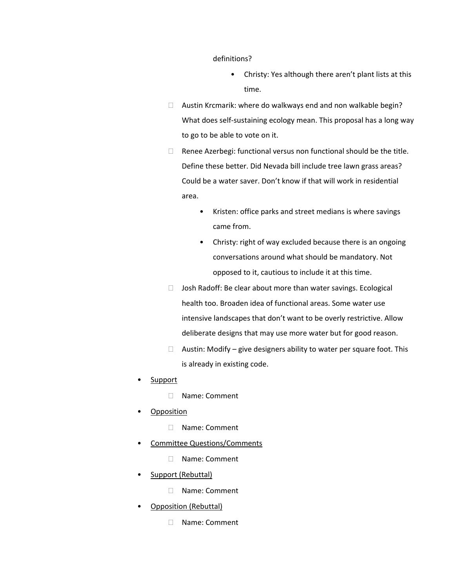definitions?

- Christy: Yes although there aren't plant lists at this time.
- Austin Krcmarik: where do walkways end and non walkable begin? What does self-sustaining ecology mean. This proposal has a long way to go to be able to vote on it.
- $\Box$  Renee Azerbegi: functional versus non functional should be the title. Define these better. Did Nevada bill include tree lawn grass areas? Could be a water saver. Don't know if that will work in residential area.
	- Kristen: office parks and street medians is where savings came from.
	- Christy: right of way excluded because there is an ongoing conversations around what should be mandatory. Not opposed to it, cautious to include it at this time.
- $\Box$  Josh Radoff: Be clear about more than water savings. Ecological health too. Broaden idea of functional areas. Some water use intensive landscapes that don't want to be overly restrictive. Allow deliberate designs that may use more water but for good reason.
- $\Box$  Austin: Modify give designers ability to water per square foot. This is already in existing code.
- **Support** 
	- Name: Comment
- Opposition
	- Name: Comment
- Committee Questions/Comments
	- Name: Comment
- Support (Rebuttal)
	- Name: Comment
- Opposition (Rebuttal)
	- □ Name: Comment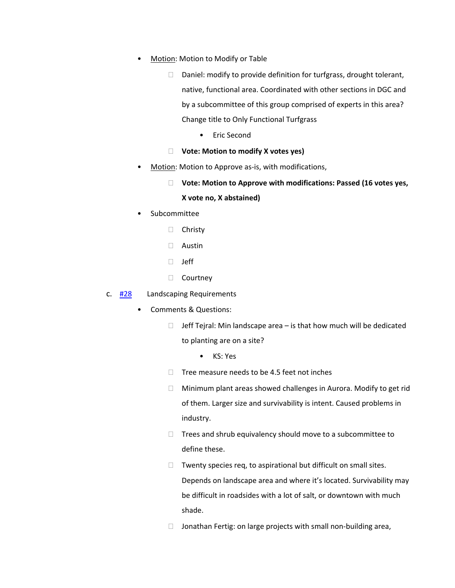- Motion: Motion to Modify or Table
	- $\Box$  Daniel: modify to provide definition for turfgrass, drought tolerant, native, functional area. Coordinated with other sections in DGC and by a subcommittee of this group comprised of experts in this area? Change title to Only Functional Turfgrass
		- Eric Second
	- **Vote: Motion to modify X votes yes)**
- Motion: Motion to Approve as-is, with modifications,
	- **Vote: Motion to Approve with modifications: Passed (16 votes yes, X vote no, X abstained)**
- Subcommittee
	- □ Christy
	- Austin
	- Jeff
	- □ Courtney
- c.  $\frac{\#28}{\#28}$  $\frac{\#28}{\#28}$  $\frac{\#28}{\#28}$  Landscaping Requirements
	- Comments & Questions:
		- $\Box$  Jeff Tejral: Min landscape area is that how much will be dedicated to planting are on a site?
			- KS: Yes
		- $\Box$  Tree measure needs to be 4.5 feet not inches
		- Minimum plant areas showed challenges in Aurora. Modify to get rid of them. Larger size and survivability is intent. Caused problems in industry.
		- $\Box$  Trees and shrub equivalency should move to a subcommittee to define these.
		- $\Box$  Twenty species req, to aspirational but difficult on small sites. Depends on landscape area and where it's located. Survivability may be difficult in roadsides with a lot of salt, or downtown with much shade.
		- $\Box$  Jonathan Fertig: on large projects with small non-building area,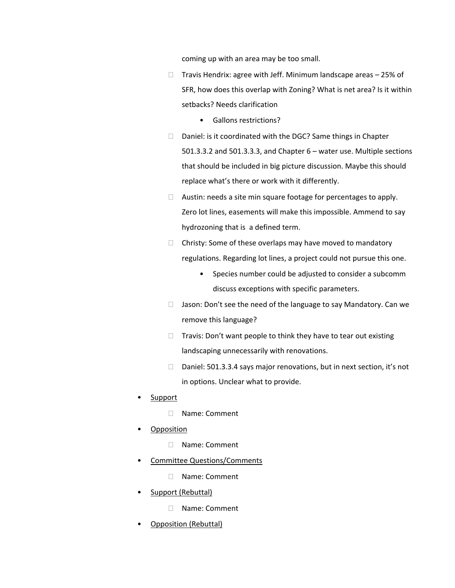coming up with an area may be too small.

- $\Box$  Travis Hendrix: agree with Jeff. Minimum landscape areas  $-25\%$  of SFR, how does this overlap with Zoning? What is net area? Is it within setbacks? Needs clarification
	- Gallons restrictions?
- $\Box$  Daniel: is it coordinated with the DGC? Same things in Chapter 501.3.3.2 and 501.3.3.3, and Chapter 6 – water use. Multiple sections that should be included in big picture discussion. Maybe this should replace what's there or work with it differently.
- $\Box$  Austin: needs a site min square footage for percentages to apply. Zero lot lines, easements will make this impossible. Ammend to say hydrozoning that is a defined term.
- $\Box$  Christy: Some of these overlaps may have moved to mandatory regulations. Regarding lot lines, a project could not pursue this one.
	- Species number could be adjusted to consider a subcomm discuss exceptions with specific parameters.
- $\Box$  Jason: Don't see the need of the language to say Mandatory. Can we remove this language?
- $\Box$  Travis: Don't want people to think they have to tear out existing landscaping unnecessarily with renovations.
- $\Box$  Daniel: 501.3.3.4 says major renovations, but in next section, it's not in options. Unclear what to provide.
- Support
	- Name: Comment
- Opposition
	- Name: Comment
- Committee Questions/Comments
	- □ Name: Comment
- Support (Rebuttal)
	- □ Name: Comment
- Opposition (Rebuttal)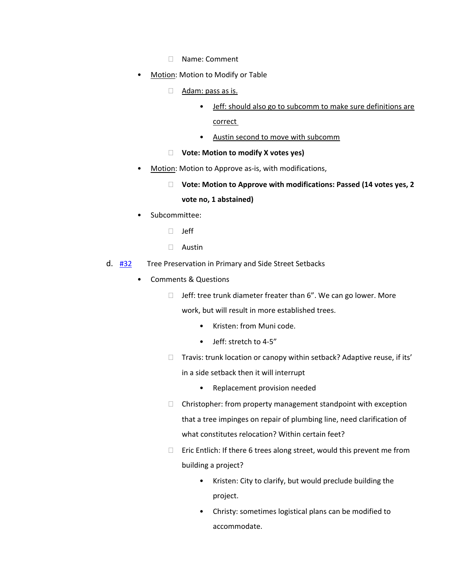- Name: Comment
- Motion: Motion to Modify or Table
	- Adam: pass as is.
		- Jeff: should also go to subcomm to make sure definitions are
			- correct
		- Austin second to move with subcomm
	- **Vote: Motion to modify X votes yes)**
- Motion: Motion to Approve as-is, with modifications,
	- **Vote: Motion to Approve with modifications: Passed (14 votes yes, 2 vote no, 1 abstained)**
- Subcommittee:
	- $\Box$  Jeff
	- Austin
- d. [#32](https://www.denvergov.org/files/assets/public/community-planning-and-development/documents/ds/building-codes/code-adoption/amendment-proposals/dgc/dgc_501.3.3.6.pdf) Tree Preservation in Primary and Side Street Setbacks
	- Comments & Questions
		- $\Box$  Jeff: tree trunk diameter freater than 6". We can go lower. More work, but will result in more established trees.
			- Kristen: from Muni code.
			- Jeff: stretch to 4-5"
		- $\Box$  Travis: trunk location or canopy within setback? Adaptive reuse, if its' in a side setback then it will interrupt
			- Replacement provision needed
		- $\Box$  Christopher: from property management standpoint with exception that a tree impinges on repair of plumbing line, need clarification of what constitutes relocation? Within certain feet?
		- $\Box$  Eric Entlich: If there 6 trees along street, would this prevent me from building a project?
			- Kristen: City to clarify, but would preclude building the project.
			- Christy: sometimes logistical plans can be modified to accommodate.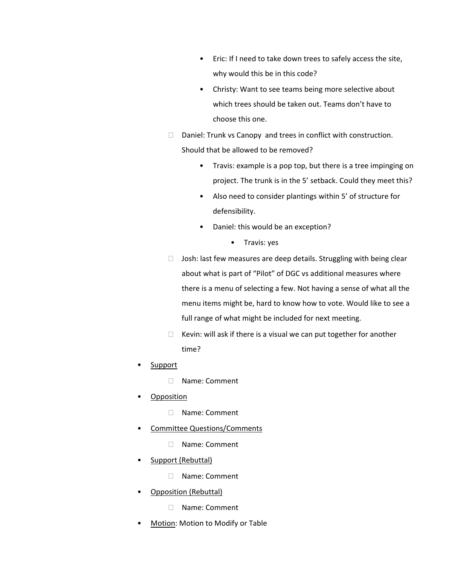- Eric: If I need to take down trees to safely access the site, why would this be in this code?
- Christy: Want to see teams being more selective about which trees should be taken out. Teams don't have to choose this one.
- $\Box$  Daniel: Trunk vs Canopy and trees in conflict with construction. Should that be allowed to be removed?
	- Travis: example is a pop top, but there is a tree impinging on project. The trunk is in the 5' setback. Could they meet this?
	- Also need to consider plantings within 5' of structure for defensibility.
	- Daniel: this would be an exception?
		- Travis: yes
- $\Box$  Josh: last few measures are deep details. Struggling with being clear about what is part of "Pilot" of DGC vs additional measures where there is a menu of selecting a few. Not having a sense of what all the menu items might be, hard to know how to vote. Would like to see a full range of what might be included for next meeting.
- $\Box$  Kevin: will ask if there is a visual we can put together for another time?
- **Support** 
	- □ Name: Comment
- Opposition
	- Name: Comment
- Committee Questions/Comments
	- Name: Comment
- Support (Rebuttal)
	- Name: Comment
- Opposition (Rebuttal)
	- Name: Comment
- Motion: Motion to Modify or Table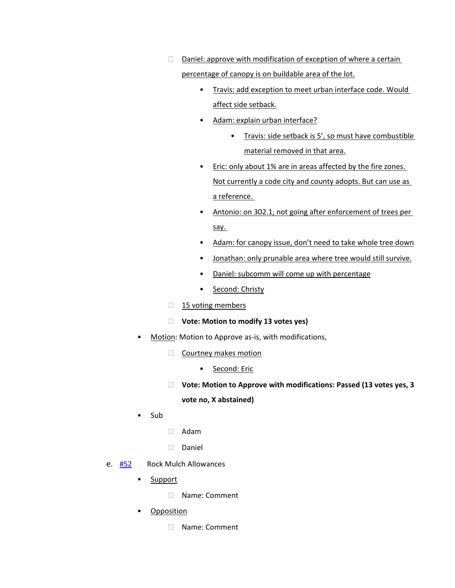$\Box$  Daniel: approve with modification of exception of where a certain

percentage of canopy is on buildable area of the lot.

- Travis: add exception to meet urban interface code. Would affect side setback.
- Adam: explain urban interface?
	- Travis: side setback is 5', so must have combustible material removed in that area.
- Eric: only about 1% are in areas affected by the fire zones. Not currently a code city and county adopts. But can use as a reference.
- Antonio: on 302.1, not going after enforcement of trees per say.
- Adam: for canopy issue, don't need to take whole tree down
- Jonathan: only prunable area where tree would still survive.
- Daniel: subcomm will come up with percentage
- Second: Christy
- $\Box$  15 voting members
- **Vote: Motion to modify 13 votes yes)**
- Motion: Motion to Approve as-is, with modifications,
	- □ Courtney makes motion
		- Second: Eric
	- **Vote: Motion to Approve with modifications: Passed (13 votes yes, 3 vote no, X abstained)**
- Sub
- Adam
- Daniel
- e. [#52](https://www.denvergov.org/files/assets/public/community-planning-and-development/documents/ds/building-codes/code-adoption/amendment-proposals/dgc/dgc_501.3.3.5-rock-mulch.pdf) Rock Mulch Allowances
	- Support
		- □ Name: Comment
	- Opposition
		- □ Name: Comment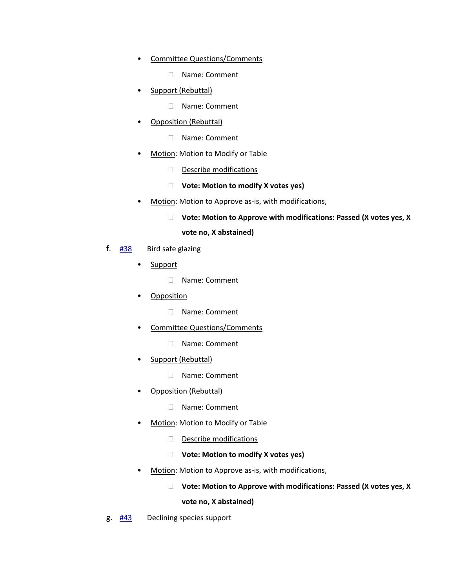- Committee Questions/Comments
	- □ Name: Comment
- Support (Rebuttal)
	- Name: Comment
- Opposition (Rebuttal)
	- Name: Comment
- Motion: Motion to Modify or Table
	- $\Box$  Describe modifications
	- **Vote: Motion to modify X votes yes)**
- Motion: Motion to Approve as-is, with modifications,

#### **Vote: Motion to Approve with modifications: Passed (X votes yes, X**

#### **vote no, X abstained)**

- f.  $\frac{\#38}{\#38}$  $\frac{\#38}{\#38}$  $\frac{\#38}{\#38}$  Bird safe glazing
	- Support
		- □ Name: Comment
	- Opposition
		- Name: Comment
	- Committee Questions/Comments
		- □ Name: Comment
	- Support (Rebuttal)
		- Name: Comment
	- Opposition (Rebuttal)
		- □ Name: Comment
	- Motion: Motion to Modify or Table
		- $\Box$  Describe modifications
		- **Vote: Motion to modify X votes yes)**
	- Motion: Motion to Approve as-is, with modifications,

#### **Vote: Motion to Approve with modifications: Passed (X votes yes, X**

**vote no, X abstained)**

g. [#43](https://www.denvergov.org/files/assets/public/community-planning-and-development/documents/ds/building-codes/code-adoption/amendment-proposals/dgc/dgc_chap5_declining-species.pdf) Declining species support